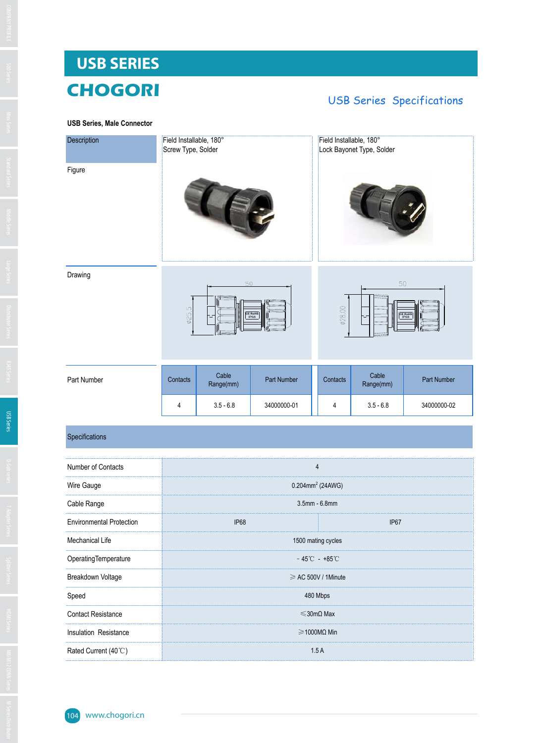# **USB SERIES CHOGORI**

## **USB Series, Male Connect**

# USB Series Specifications

| <b>USB Series, Male Connector</b> |  |  |
|-----------------------------------|--|--|
|                                   |  |  |

| Description |          | Field Installable, 180°<br>Screw Type, Solder |                 |          | Field Installable, 180°<br>Lock Bayonet Type, Solder |             |  |  |
|-------------|----------|-----------------------------------------------|-----------------|----------|------------------------------------------------------|-------------|--|--|
| Figure      |          |                                               |                 |          |                                                      |             |  |  |
| Drawing     | Ø25,5    | 50                                            | CE RoHS<br>IP68 | ø28.00   | 50<br>ᅮ                                              | CE RoHS     |  |  |
| Part Number | Contacts | Cable<br>Range(mm)                            | Part Number     | Contacts | Cable<br>Range(mm)                                   | Part Number |  |  |
|             | 4        | $3.5 - 6.8$                                   | 34000000-01     | 4        | $3.5 - 6.8$                                          | 34000000-02 |  |  |

# Specifications

| Number of Contacts              |                                             |  |  |
|---------------------------------|---------------------------------------------|--|--|
| Wire Gauge                      | $0.204$ mm <sup>2</sup> (24AWG)             |  |  |
| Cable Range                     | $3.5$ mm - $6.8$ mm                         |  |  |
| <b>Environmental Protection</b> | IP <sub>67</sub><br>IP <sub>68</sub>        |  |  |
| Mechanical Life                 | 1500 mating cycles                          |  |  |
| OperatingTemperature            | $-45^{\circ}\text{C} - +85^{\circ}\text{C}$ |  |  |
| Breakdown Voltage               | $\geq$ AC 500V / 1Minute                    |  |  |
| Speed                           | 480 Mbps                                    |  |  |
| <b>Contact Resistance</b>       | $\leq$ 30m $\Omega$ Max                     |  |  |
| Insulation Resistance           | $\geq$ 1000M $\Omega$ Min                   |  |  |
| Rated Current (40°C)            | 1.5A                                        |  |  |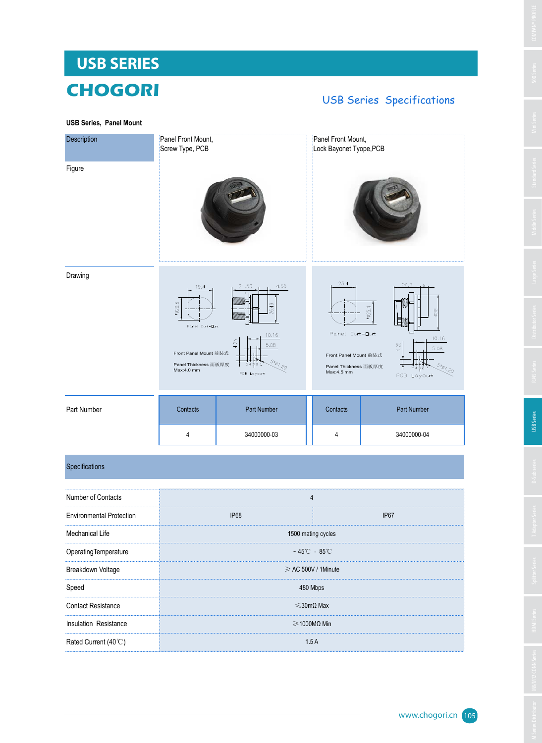# M Series HDMI Series HDMI Series HDMI Series HDMI Series HDMI Series T Adapter Series Large Series Large Series Large Series Distributor Series Large Series Large Series Distributor Series Distributor Series Distributor Se

**USB SERIES**

# **CHOGORI** USB Series Specifications

**USB Series, Panel Mount**

| Description | Panel Front Mount,<br>Screw Type, PCB                                                           |                                                                                       | Panel Front Mount,<br>Lock Bayonet Tyope, PCB                                        |                                                                                         |
|-------------|-------------------------------------------------------------------------------------------------|---------------------------------------------------------------------------------------|--------------------------------------------------------------------------------------|-----------------------------------------------------------------------------------------|
| Figure      |                                                                                                 |                                                                                       |                                                                                      |                                                                                         |
| Drawing     | 19.4<br>$*20.8$<br>Panel Cut-Dut<br>Front Panel Mount 前装式<br>Panel Thickness 面板厚度<br>Max:4.0 mm | 21.50<br>4.50<br>26.40<br>10.16<br>4.25<br>5.08<br>$5 * 01.20$<br>G4321<br>PCB Layout | 23.4<br>Panel Cut-Out<br>Front Panel Mount 前装式<br>Panel Thickness 面板厚度<br>Max:4.5 mm | 20,3<br>6<br>$*25.4$<br>ø32<br>10.16<br>4.25<br>5.08<br>$5 * 01.20$<br>32<br>PCB Layout |
| Part Number | Contacts                                                                                        | Part Number                                                                           | Contacts                                                                             | Part Number                                                                             |
|             | 4                                                                                               | 34000000-03                                                                           | 4                                                                                    | 34000000-04                                                                             |

### Specifications

| Number of Contacts              | 4                                 |             |  |
|---------------------------------|-----------------------------------|-------------|--|
| <b>Environmental Protection</b> | <b>IP68</b>                       | <b>IP67</b> |  |
| Mechanical Life                 | 1500 mating cycles                |             |  |
| OperatingTemperature            | $-45^{\circ}$ C - 85 $^{\circ}$ C |             |  |
| Breakdown Voltage               | $\geq$ AC 500V / 1Minute          |             |  |
| Speed                           | 480 Mbps                          |             |  |
| <b>Contact Resistance</b>       | $\leq$ 30mQ Max                   |             |  |
| Insulation Resistance           | $\geq$ 1000M $\Omega$ Min         |             |  |
| Rated Current (40°C)            | 1.5A                              |             |  |
|                                 |                                   |             |  |